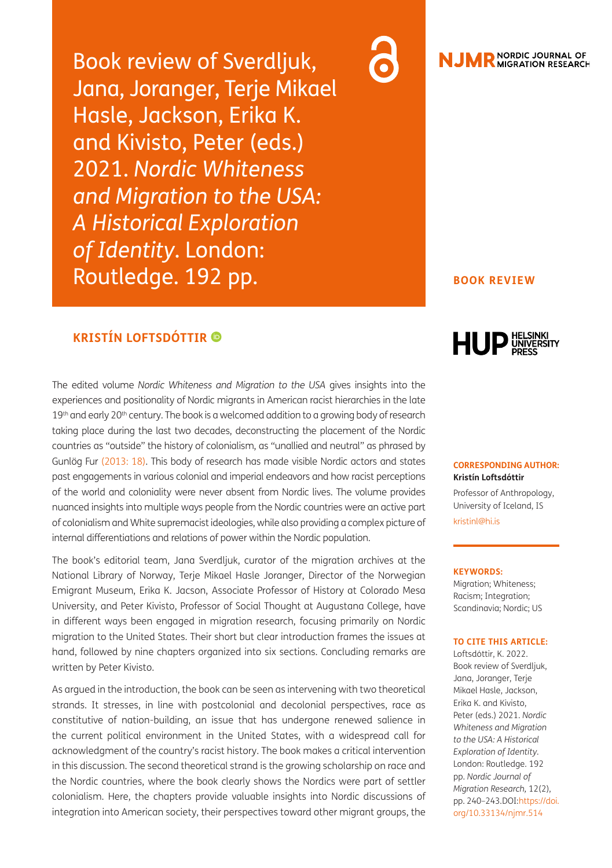Book review of Sverdljuk, Jana, Joranger, Terje Mikael Hasle, Jackson, Erika K. and Kivisto, Peter (eds.) 2021. *Nordic Whiteness and Migration to the USA: A Historical Exploration of Identity*. London: Routledge. 192 pp.

## **KRISTÍN LOFTSDÓTTIR**

The edited volume *Nordic Whiteness and Migration to the USA* gives insights into the experiences and positionality of Nordic migrants in American racist hierarchies in the late 19th and early 20th century. The book is a welcomed addition to a growing body of research taking place during the last two decades, deconstructing the placement of the Nordic countries as "outside" the history of colonialism, as "unallied and neutral" as phrased by Gunlög Fur [\(2013: 18\).](#page-3-0) This body of research has made visible Nordic actors and states past engagements in various colonial and imperial endeavors and how racist perceptions of the world and coloniality were never absent from Nordic lives. The volume provides nuanced insights into multiple ways people from the Nordic countries were an active part of colonialism and White supremacist ideologies, while also providing a complex picture of internal differentiations and relations of power within the Nordic population.

The book's editorial team, Jana Sverdljuk, curator of the migration archives at the National Library of Norway, Terje Mikael Hasle Joranger, Director of the Norwegian Emigrant Museum, Erika K. Jacson, Associate Professor of History at Colorado Mesa University, and Peter Kivisto, Professor of Social Thought at Augustana College, have in different ways been engaged in migration research, focusing primarily on Nordic migration to the United States. Their short but clear introduction frames the issues at hand, followed by nine chapters organized into six sections. Concluding remarks are written by Peter Kivisto.

As argued in the introduction, the book can be seen as intervening with two theoretical strands. It stresses, in line with postcolonial and decolonial perspectives, race as constitutive of nation-building, an issue that has undergone renewed salience in the current political environment in the United States, with a widespread call for acknowledgment of the country's racist history. The book makes a critical intervention in this discussion. The second theoretical strand is the growing scholarship on race and the Nordic countries, where the book clearly shows the Nordics were part of settler colonialism. Here, the chapters provide valuable insights into Nordic discussions of integration into American society, their perspectives toward other migrant groups, the



# **JMR** NORDIC JOURNAL OF

### **BOOK REVIEW**



### **CORRESPONDING AUTHOR: Kristín Loftsdóttir**

Professor of Anthropology, University of Iceland, IS [kristinl@hi.is](mailto:kristinl@hi.is)

#### **KEYWORDS:**

Migration; Whiteness; Racism; Integration; Scandinavia; Nordic; US

### **TO CITE THIS ARTICLE:**

Loftsdóttir, K. 2022. Book review of Sverdljuk, Jana, Joranger, Terje Mikael Hasle, Jackson, Erika K. and Kivisto, Peter (eds.) 2021. *Nordic Whiteness and Migration to the USA: A Historical Exploration of Identity*. London: Routledge. 192 pp. *Nordic Journal of Migration Research,* 12(2), pp. 240-243. DOI[: https://doi.](https://doi.org/10.33134/njmr.514) [org/10.33134/njmr.514](https://doi.org/10.33134/njmr.514)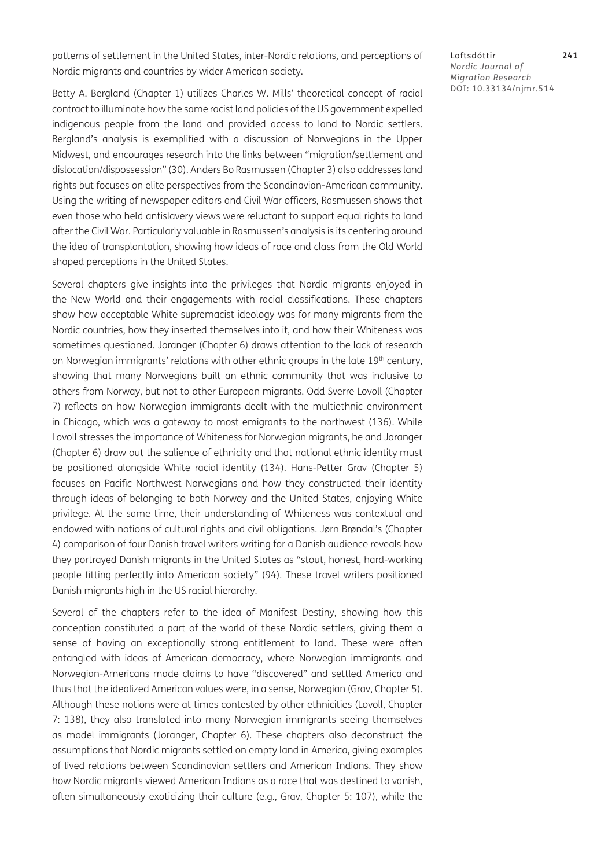patterns of settlement in the United States, inter-Nordic relations, and perceptions of Nordic migrants and countries by wider American society.

Betty A. Bergland (Chapter 1) utilizes Charles W. Mills' theoretical concept of racial contract to illuminate how the same racist land policies of the US government expelled indigenous people from the land and provided access to land to Nordic settlers. Bergland's analysis is exemplified with a discussion of Norwegians in the Upper Midwest, and encourages research into the links between "migration/settlement and dislocation/dispossession" (30). Anders Bo Rasmussen (Chapter 3) also addresses land rights but focuses on elite perspectives from the Scandinavian-American community. Using the writing of newspaper editors and Civil War officers, Rasmussen shows that even those who held antislavery views were reluctant to support equal rights to land after the Civil War. Particularly valuable in Rasmussen's analysis is its centering around the idea of transplantation, showing how ideas of race and class from the Old World shaped perceptions in the United States.

Several chapters give insights into the privileges that Nordic migrants enjoyed in the New World and their engagements with racial classifications. These chapters show how acceptable White supremacist ideology was for many migrants from the Nordic countries, how they inserted themselves into it, and how their Whiteness was sometimes questioned. Joranger (Chapter 6) draws attention to the lack of research on Norwegian immigrants' relations with other ethnic groups in the late 19<sup>th</sup> century, showing that many Norwegians built an ethnic community that was inclusive to others from Norway, but not to other European migrants. Odd Sverre Lovoll (Chapter 7) reflects on how Norwegian immigrants dealt with the multiethnic environment in Chicago, which was a gateway to most emigrants to the northwest (136). While Lovoll stresses the importance of Whiteness for Norwegian migrants, he and Joranger (Chapter 6) draw out the salience of ethnicity and that national ethnic identity must be positioned alongside White racial identity (134). Hans-Petter Grav (Chapter 5) focuses on Pacific Northwest Norwegians and how they constructed their identity through ideas of belonging to both Norway and the United States, enjoying White privilege. At the same time, their understanding of Whiteness was contextual and endowed with notions of cultural rights and civil obligations. Jørn Brøndal's (Chapter 4) comparison of four Danish travel writers writing for a Danish audience reveals how they portrayed Danish migrants in the United States as "stout, honest, hard-working people fitting perfectly into American society" (94). These travel writers positioned Danish migrants high in the US racial hierarchy.

Several of the chapters refer to the idea of Manifest Destiny, showing how this conception constituted a part of the world of these Nordic settlers, giving them a sense of having an exceptionally strong entitlement to land. These were often entangled with ideas of American democracy, where Norwegian immigrants and Norwegian-Americans made claims to have "discovered" and settled America and thus that the idealized American values were, in a sense, Norwegian (Grav, Chapter 5). Although these notions were at times contested by other ethnicities (Lovoll, Chapter 7: 138), they also translated into many Norwegian immigrants seeing themselves as model immigrants (Joranger, Chapter 6). These chapters also deconstruct the assumptions that Nordic migrants settled on empty land in America, giving examples of lived relations between Scandinavian settlers and American Indians. They show how Nordic migrants viewed American Indians as a race that was destined to vanish, often simultaneously exoticizing their culture (e.g., Grav, Chapter 5: 107), while the Loftsdóttir **241** *Nordic Journal of Migration Research* DOI: 10.33134/njmr.514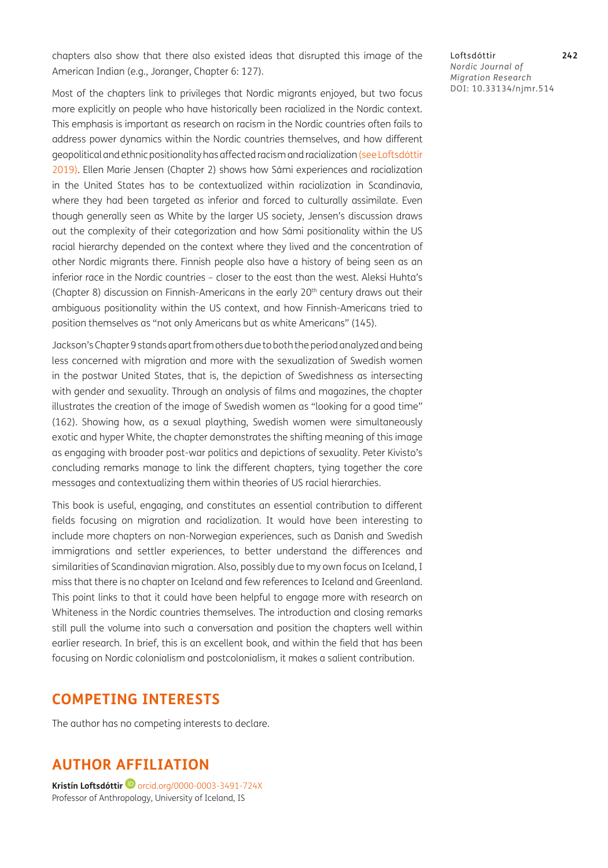chapters also show that there also existed ideas that disrupted this image of the American Indian (e.g., Joranger, Chapter 6: 127).

Most of the chapters link to privileges that Nordic migrants enjoyed, but two focus more explicitly on people who have historically been racialized in the Nordic context. This emphasis is important as research on racism in the Nordic countries often fails to address power dynamics within the Nordic countries themselves, and how different geopolitical and ethnic positionality has affected racism and racialization (see Loftsdóttir 2019). Ellen Marie Jensen (Chapter 2) shows how Sámi experiences and racialization in the United States has to be contextualized within racialization in Scandinavia, where they had been targeted as inferior and forced to culturally assimilate. Even though generally seen as White by the larger US society, Jensen's discussion draws out the complexity of their categorization and how Sámi positionality within the US racial hierarchy depended on the context where they lived and the concentration of other Nordic migrants there. Finnish people also have a history of being seen as an inferior race in the Nordic countries – closer to the east than the west. Aleksi Huhta's (Chapter 8) discussion on Finnish-Americans in the early  $20<sup>th</sup>$  century draws out their ambiguous positionality within the US context, and how Finnish-Americans tried to position themselves as "not only Americans but as white Americans" (145).

Jackson's Chapter 9 stands apart from others due to both the period analyzed and being less concerned with migration and more with the sexualization of Swedish women in the postwar United States, that is, the depiction of Swedishness as intersecting with gender and sexuality. Through an analysis of films and magazines, the chapter illustrates the creation of the image of Swedish women as "looking for a good time" (162). Showing how, as a sexual plaything, Swedish women were simultaneously exotic and hyper White, the chapter demonstrates the shifting meaning of this image as engaging with broader post-war politics and depictions of sexuality. Peter Kivisto's concluding remarks manage to link the different chapters, tying together the core messages and contextualizing them within theories of US racial hierarchies.

This book is useful, engaging, and constitutes an essential contribution to different fields focusing on migration and racialization. It would have been interesting to include more chapters on non-Norwegian experiences, such as Danish and Swedish immigrations and settler experiences, to better understand the differences and similarities of Scandinavian migration. Also, possibly due to my own focus on Iceland, I miss that there is no chapter on Iceland and few references to Iceland and Greenland. This point links to that it could have been helpful to engage more with research on Whiteness in the Nordic countries themselves. The introduction and closing remarks still pull the volume into such a conversation and position the chapters well within earlier research. In brief, this is an excellent book, and within the field that has been focusing on Nordic colonialism and postcolonialism, it makes a salient contribution.

### **COMPETING INTERESTS**

The author has no competing interests to declare.

# **AUTHOR AFFILIATION**

**Kristín Loftsdóttir**[orcid.org/0000-0003-3491-724X](https://orcid.org/0000-0003-3491-724X) Professor of Anthropology, University of Iceland, IS

Loftsdóttir **242** *Nordic Journal of Migration Research* DOI: 10.33134/njmr.514